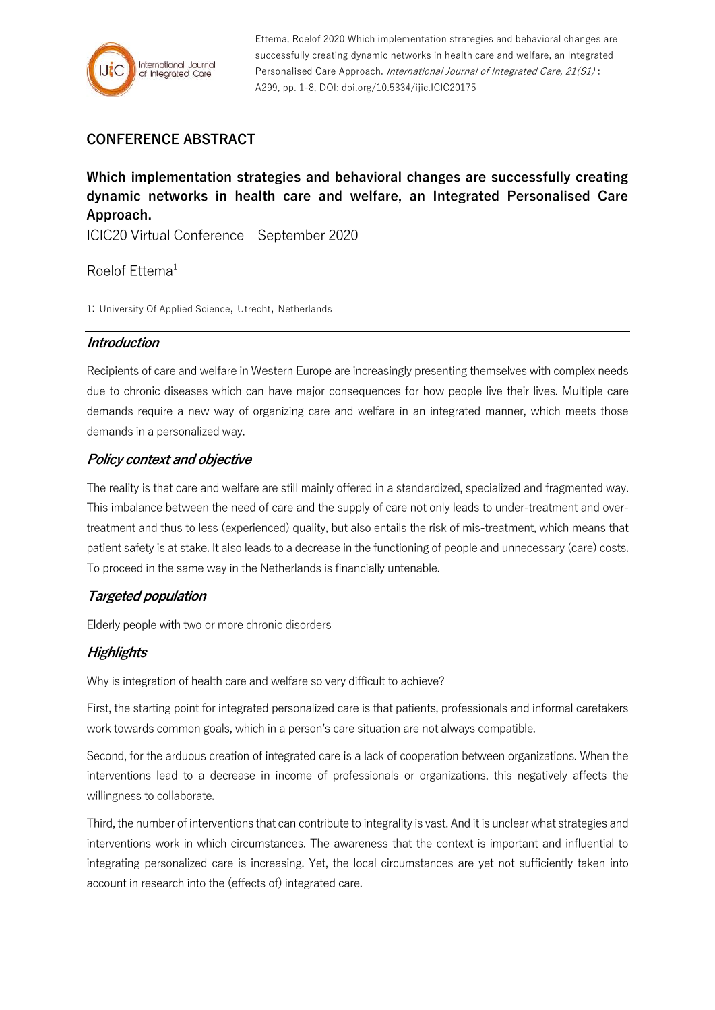

Ettema, Roelof 2020 Which implementation strategies and behavioral changes are successfully creating dynamic networks in health care and welfare, an Integrated Personalised Care Approach. International Journal of Integrated Care, 21(S1): A299, pp. 1-8, DOI: doi.org/10.5334/ijic.ICIC20175

# **CONFERENCE ABSTRACT**

**Which implementation strategies and behavioral changes are successfully creating dynamic networks in health care and welfare, an Integrated Personalised Care Approach.**

ICIC20 Virtual Conference – September 2020

Roelof Ettema<sup>1</sup>

1: University Of Applied Science, Utrecht, Netherlands

#### **Introduction**

Recipients of care and welfare in Western Europe are increasingly presenting themselves with complex needs due to chronic diseases which can have major consequences for how people live their lives. Multiple care demands require a new way of organizing care and welfare in an integrated manner, which meets those demands in a personalized way.

### **Policy context and objective**

The reality is that care and welfare are still mainly offered in a standardized, specialized and fragmented way. This imbalance between the need of care and the supply of care not only leads to under-treatment and overtreatment and thus to less (experienced) quality, but also entails the risk of mis-treatment, which means that patient safety is at stake. It also leads to a decrease in the functioning of people and unnecessary (care) costs. To proceed in the same way in the Netherlands is financially untenable.

## **Targeted population**

Elderly people with two or more chronic disorders

## **Highlights**

Why is integration of health care and welfare so very difficult to achieve?

First, the starting point for integrated personalized care is that patients, professionals and informal caretakers work towards common goals, which in a person's care situation are not always compatible.

Second, for the arduous creation of integrated care is a lack of cooperation between organizations. When the interventions lead to a decrease in income of professionals or organizations, this negatively affects the willingness to collaborate.

Third, the number of interventions that can contribute to integrality is vast. And it is unclear what strategies and interventions work in which circumstances. The awareness that the context is important and influential to integrating personalized care is increasing. Yet, the local circumstances are yet not sufficiently taken into account in research into the (effects of) integrated care.